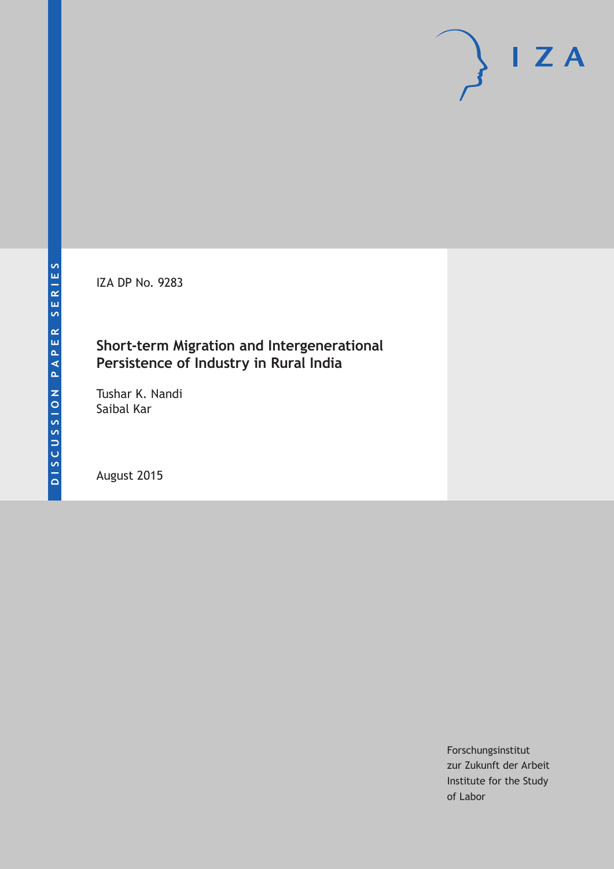IZA DP No. 9283

# **Short-term Migration and Intergenerational Persistence of Industry in Rural India**

Tushar K. Nandi Saibal Kar

August 2015

Forschungsinstitut zur Zukunft der Arbeit Institute for the Study of Labor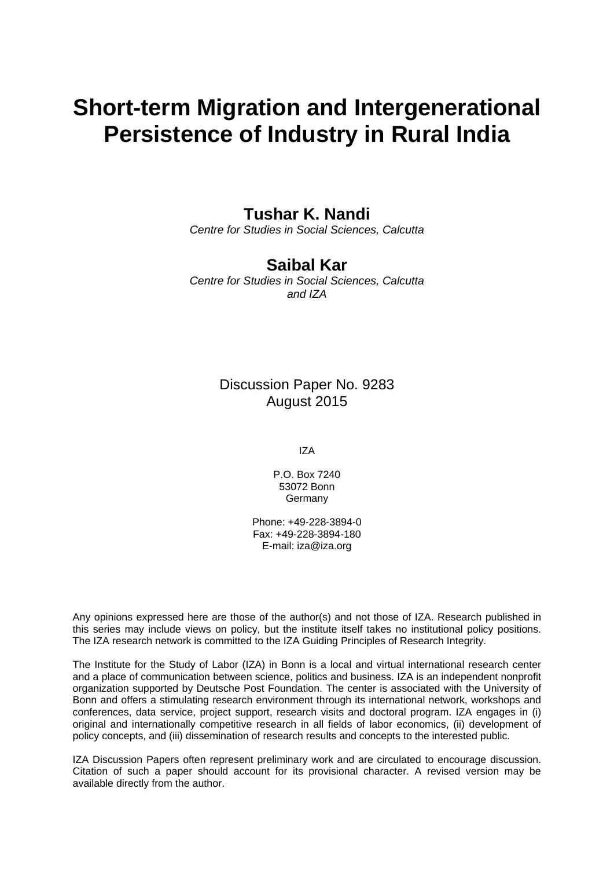# **Short-term Migration and Intergenerational Persistence of Industry in Rural India**

### **Tushar K. Nandi**

*Centre for Studies in Social Sciences, Calcutta* 

## **Saibal Kar**

*Centre for Studies in Social Sciences, Calcutta and IZA* 

### Discussion Paper No. 9283 August 2015

IZA

P.O. Box 7240 53072 Bonn Germany

Phone: +49-228-3894-0 Fax: +49-228-3894-180 E-mail: iza@iza.org

Any opinions expressed here are those of the author(s) and not those of IZA. Research published in this series may include views on policy, but the institute itself takes no institutional policy positions. The IZA research network is committed to the IZA Guiding Principles of Research Integrity.

The Institute for the Study of Labor (IZA) in Bonn is a local and virtual international research center and a place of communication between science, politics and business. IZA is an independent nonprofit organization supported by Deutsche Post Foundation. The center is associated with the University of Bonn and offers a stimulating research environment through its international network, workshops and conferences, data service, project support, research visits and doctoral program. IZA engages in (i) original and internationally competitive research in all fields of labor economics, (ii) development of policy concepts, and (iii) dissemination of research results and concepts to the interested public.

IZA Discussion Papers often represent preliminary work and are circulated to encourage discussion. Citation of such a paper should account for its provisional character. A revised version may be available directly from the author.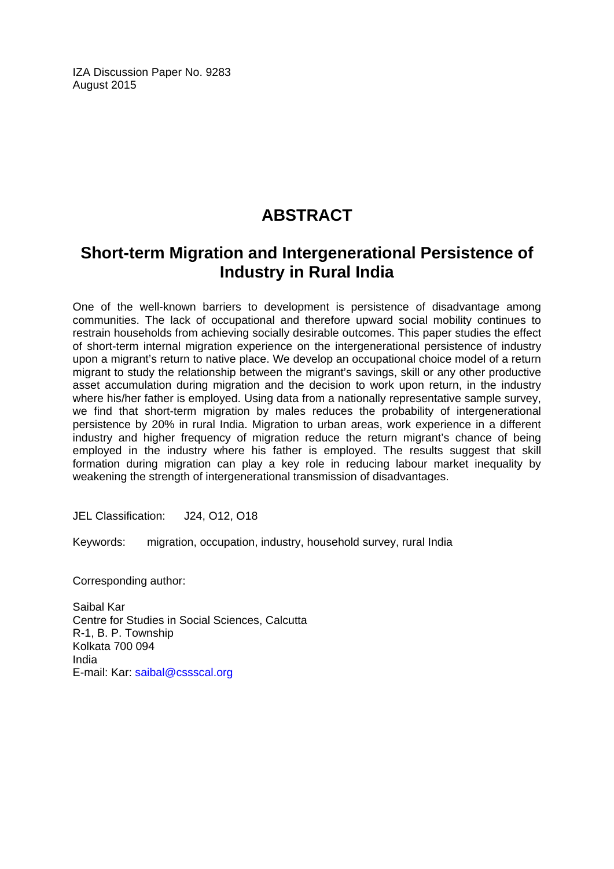IZA Discussion Paper No. 9283 August 2015

# **ABSTRACT**

# **Short-term Migration and Intergenerational Persistence of Industry in Rural India**

One of the well-known barriers to development is persistence of disadvantage among communities. The lack of occupational and therefore upward social mobility continues to restrain households from achieving socially desirable outcomes. This paper studies the effect of short-term internal migration experience on the intergenerational persistence of industry upon a migrant's return to native place. We develop an occupational choice model of a return migrant to study the relationship between the migrant's savings, skill or any other productive asset accumulation during migration and the decision to work upon return, in the industry where his/her father is employed. Using data from a nationally representative sample survey, we find that short-term migration by males reduces the probability of intergenerational persistence by 20% in rural India. Migration to urban areas, work experience in a different industry and higher frequency of migration reduce the return migrant's chance of being employed in the industry where his father is employed. The results suggest that skill formation during migration can play a key role in reducing labour market inequality by weakening the strength of intergenerational transmission of disadvantages.

JEL Classification: J24, O12, O18

Keywords: migration, occupation, industry, household survey, rural India

Corresponding author:

Saibal Kar Centre for Studies in Social Sciences, Calcutta R-1, B. P. Township Kolkata 700 094 India E-mail: Kar: saibal@cssscal.org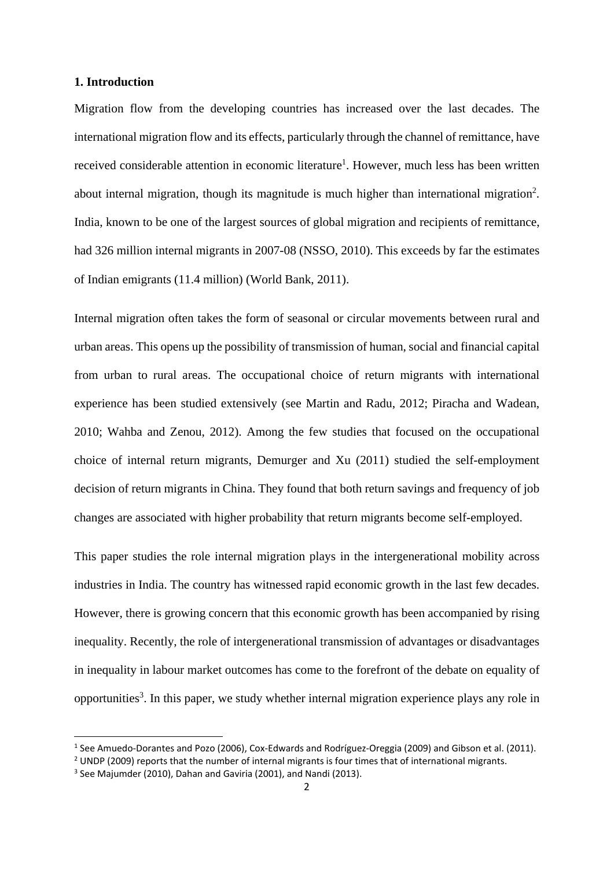### **1. Introduction**

Migration flow from the developing countries has increased over the last decades. The international migration flow and its effects, particularly through the channel of remittance, have received considerable attention in economic literature<sup>1</sup>. However, much less has been written about internal migration, though its magnitude is much higher than international migration<sup>2</sup>. India, known to be one of the largest sources of global migration and recipients of remittance, had 326 million internal migrants in 2007-08 (NSSO, 2010). This exceeds by far the estimates of Indian emigrants (11.4 million) (World Bank, 2011).

Internal migration often takes the form of seasonal or circular movements between rural and urban areas. This opens up the possibility of transmission of human, social and financial capital from urban to rural areas. The occupational choice of return migrants with international experience has been studied extensively (see Martin and Radu, 2012; Piracha and Wadean, 2010; Wahba and Zenou, 2012). Among the few studies that focused on the occupational choice of internal return migrants, Demurger and Xu (2011) studied the self-employment decision of return migrants in China. They found that both return savings and frequency of job changes are associated with higher probability that return migrants become self-employed.

This paper studies the role internal migration plays in the intergenerational mobility across industries in India. The country has witnessed rapid economic growth in the last few decades. However, there is growing concern that this economic growth has been accompanied by rising inequality. Recently, the role of intergenerational transmission of advantages or disadvantages in inequality in labour market outcomes has come to the forefront of the debate on equality of opportunities<sup>3</sup>. In this paper, we study whether internal migration experience plays any role in

1

<sup>1</sup> See Amuedo‐Dorantes and Pozo (2006), Cox‐Edwards and Rodríguez‐Oreggia (2009) and Gibson et al. (2011).

<sup>&</sup>lt;sup>2</sup> UNDP (2009) reports that the number of internal migrants is four times that of international migrants.

<sup>&</sup>lt;sup>3</sup> See Majumder (2010), Dahan and Gaviria (2001), and Nandi (2013).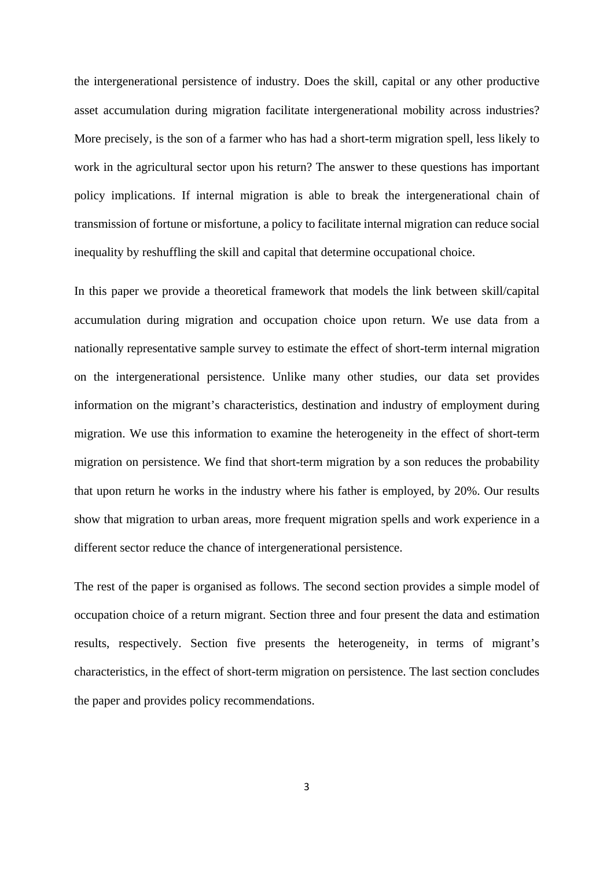the intergenerational persistence of industry. Does the skill, capital or any other productive asset accumulation during migration facilitate intergenerational mobility across industries? More precisely, is the son of a farmer who has had a short-term migration spell, less likely to work in the agricultural sector upon his return? The answer to these questions has important policy implications. If internal migration is able to break the intergenerational chain of transmission of fortune or misfortune, a policy to facilitate internal migration can reduce social inequality by reshuffling the skill and capital that determine occupational choice.

In this paper we provide a theoretical framework that models the link between skill/capital accumulation during migration and occupation choice upon return. We use data from a nationally representative sample survey to estimate the effect of short-term internal migration on the intergenerational persistence. Unlike many other studies, our data set provides information on the migrant's characteristics, destination and industry of employment during migration. We use this information to examine the heterogeneity in the effect of short-term migration on persistence. We find that short-term migration by a son reduces the probability that upon return he works in the industry where his father is employed, by 20%. Our results show that migration to urban areas, more frequent migration spells and work experience in a different sector reduce the chance of intergenerational persistence.

The rest of the paper is organised as follows. The second section provides a simple model of occupation choice of a return migrant. Section three and four present the data and estimation results, respectively. Section five presents the heterogeneity, in terms of migrant's characteristics, in the effect of short-term migration on persistence. The last section concludes the paper and provides policy recommendations.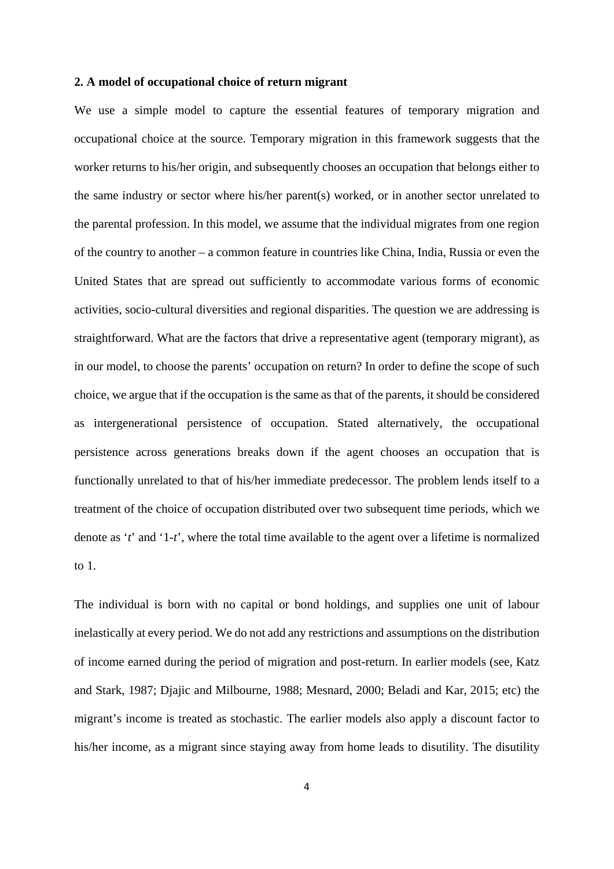### **2. A model of occupational choice of return migrant**

We use a simple model to capture the essential features of temporary migration and occupational choice at the source. Temporary migration in this framework suggests that the worker returns to his/her origin, and subsequently chooses an occupation that belongs either to the same industry or sector where his/her parent(s) worked, or in another sector unrelated to the parental profession. In this model, we assume that the individual migrates from one region of the country to another – a common feature in countries like China, India, Russia or even the United States that are spread out sufficiently to accommodate various forms of economic activities, socio-cultural diversities and regional disparities. The question we are addressing is straightforward. What are the factors that drive a representative agent (temporary migrant), as in our model, to choose the parents' occupation on return? In order to define the scope of such choice, we argue that if the occupation is the same as that of the parents, it should be considered as intergenerational persistence of occupation. Stated alternatively, the occupational persistence across generations breaks down if the agent chooses an occupation that is functionally unrelated to that of his/her immediate predecessor. The problem lends itself to a treatment of the choice of occupation distributed over two subsequent time periods, which we denote as '*t*' and '1*-t*', where the total time available to the agent over a lifetime is normalized to 1.

The individual is born with no capital or bond holdings, and supplies one unit of labour inelastically at every period. We do not add any restrictions and assumptions on the distribution of income earned during the period of migration and post-return. In earlier models (see, Katz and Stark, 1987; Djajic and Milbourne, 1988; Mesnard, 2000; Beladi and Kar, 2015; etc) the migrant's income is treated as stochastic. The earlier models also apply a discount factor to his/her income, as a migrant since staying away from home leads to disutility. The disutility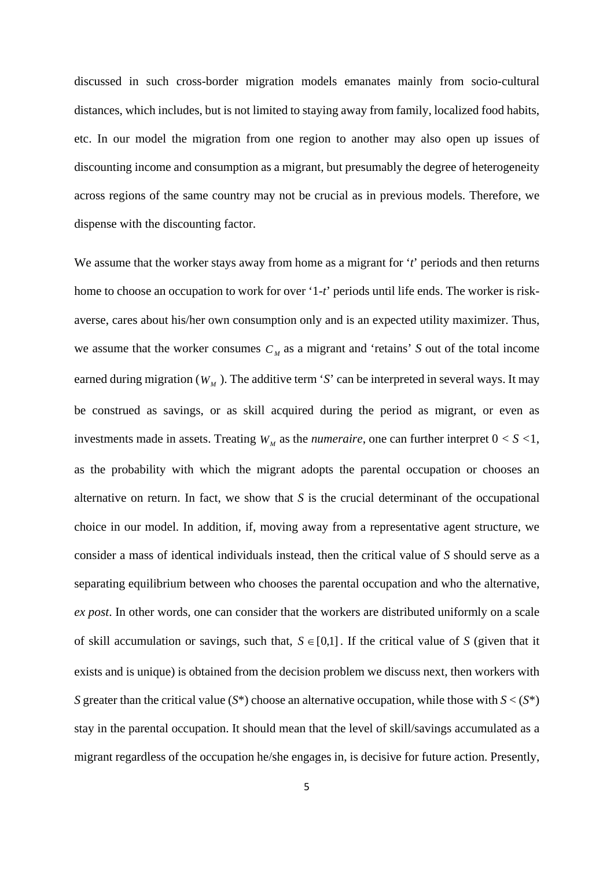discussed in such cross-border migration models emanates mainly from socio-cultural distances, which includes, but is not limited to staying away from family, localized food habits, etc. In our model the migration from one region to another may also open up issues of discounting income and consumption as a migrant, but presumably the degree of heterogeneity across regions of the same country may not be crucial as in previous models. Therefore, we dispense with the discounting factor.

We assume that the worker stays away from home as a migrant for '*t*' periods and then returns home to choose an occupation to work for over '1-*t*' periods until life ends. The worker is riskaverse, cares about his/her own consumption only and is an expected utility maximizer. Thus, we assume that the worker consumes  $C_M$  as a migrant and 'retains' *S* out of the total income earned during migration ( $W<sub>M</sub>$ ). The additive term '*S*' can be interpreted in several ways. It may be construed as savings, or as skill acquired during the period as migrant, or even as investments made in assets. Treating  $W_M$  as the *numeraire*, one can further interpret  $0 < S < 1$ , as the probability with which the migrant adopts the parental occupation or chooses an alternative on return. In fact, we show that *S* is the crucial determinant of the occupational choice in our model. In addition, if, moving away from a representative agent structure, we consider a mass of identical individuals instead, then the critical value of *S* should serve as a separating equilibrium between who chooses the parental occupation and who the alternative, *ex post*. In other words, one can consider that the workers are distributed uniformly on a scale of skill accumulation or savings, such that,  $S \in [0,1]$ . If the critical value of *S* (given that it exists and is unique) is obtained from the decision problem we discuss next, then workers with *S* greater than the critical value  $(S^*)$  choose an alternative occupation, while those with  $S < (S^*)$ stay in the parental occupation. It should mean that the level of skill/savings accumulated as a migrant regardless of the occupation he/she engages in, is decisive for future action. Presently,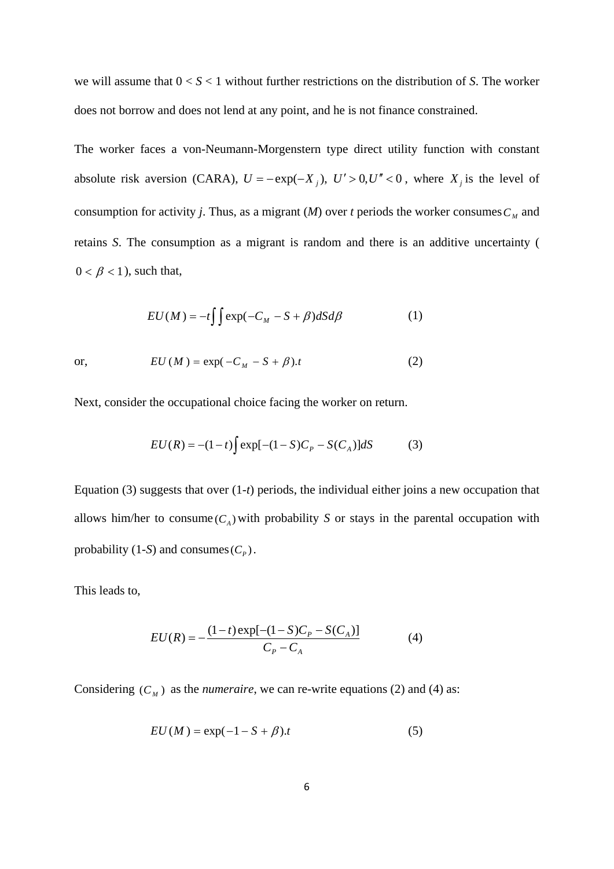we will assume that 0 < *S* < 1 without further restrictions on the distribution of *S*. The worker does not borrow and does not lend at any point, and he is not finance constrained.

The worker faces a von-Neumann-Morgenstern type direct utility function with constant absolute risk aversion (CARA),  $U = -\exp(-X_j)$ ,  $U' > 0$ ,  $U'' < 0$ , where  $X_j$  is the level of consumption for activity *j*. Thus, as a migrant  $(M)$  over *t* periods the worker consumes  $C<sub>M</sub>$  and retains *S*. The consumption as a migrant is random and there is an additive uncertainty (  $0 < \beta < 1$ ), such that,

$$
EU(M) = -t \int \int \exp(-C_M - S + \beta) dS d\beta \tag{1}
$$

or, 
$$
EU(M) = \exp(-C_M - S + \beta)t
$$
 (2)

Next, consider the occupational choice facing the worker on return.

$$
EU(R) = -(1-t)\int \exp[-(1-S)C_p - S(C_A)]dS
$$
 (3)

Equation (3) suggests that over (1-*t*) periods, the individual either joins a new occupation that allows him/her to consume  $(C_A)$  with probability *S* or stays in the parental occupation with probability (1-*S*) and consumes  $(C_p)$ .

This leads to,

$$
EU(R) = -\frac{(1-t)\exp[-(1-S)C_p - S(C_A)]}{C_p - C_A}
$$
(4)

Considering  $(C_M)$  as the *numeraire*, we can re-write equations (2) and (4) as:

$$
EU(M) = \exp(-1 - S + \beta).t
$$
 (5)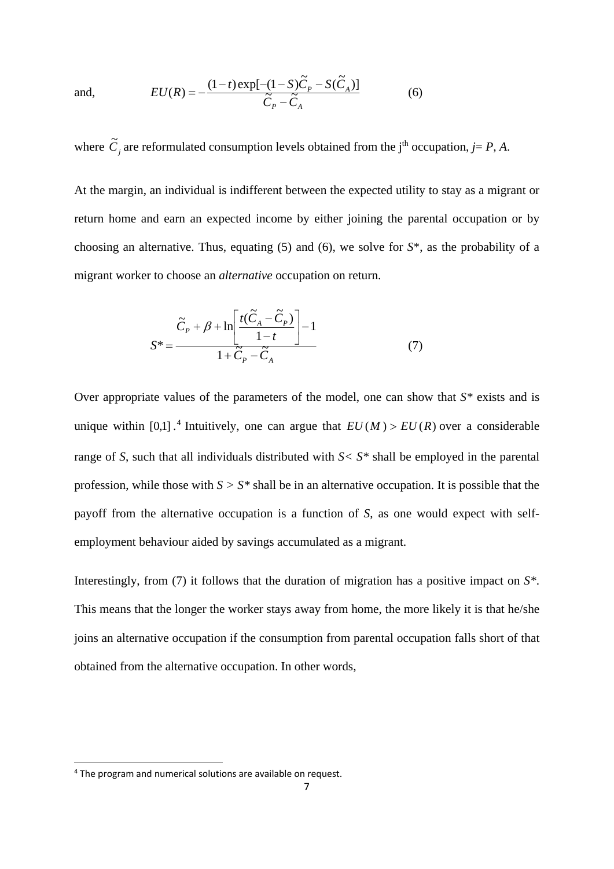and, 
$$
EU(R) = -\frac{(1-t)\exp[-(1-S)\tilde{C}_P - S(\tilde{C}_A)]}{\tilde{C}_P - \tilde{C}_A}
$$
(6)

where  $\tilde{C}_j$  are reformulated consumption levels obtained from the j<sup>th</sup> occupation, *j*= *P*, *A*.

At the margin, an individual is indifferent between the expected utility to stay as a migrant or return home and earn an expected income by either joining the parental occupation or by choosing an alternative. Thus, equating (5) and (6), we solve for *S*\*, as the probability of a migrant worker to choose an *alternative* occupation on return.

$$
S^* = \frac{\widetilde{C}_P + \beta + \ln\left[\frac{t(\widetilde{C}_A - \widetilde{C}_P)}{1 - t}\right] - 1}{1 + \widetilde{C}_P - \widetilde{C}_A} \tag{7}
$$

Over appropriate values of the parameters of the model, one can show that *S\** exists and is unique within [0,1]  $\cdot$ <sup>4</sup> Intuitively, one can argue that  $EU(M) > EU(R)$  over a considerable range of *S*, such that all individuals distributed with *S< S\** shall be employed in the parental profession, while those with *S > S\** shall be in an alternative occupation. It is possible that the payoff from the alternative occupation is a function of *S*, as one would expect with selfemployment behaviour aided by savings accumulated as a migrant.

Interestingly, from (7) it follows that the duration of migration has a positive impact on *S\**. This means that the longer the worker stays away from home, the more likely it is that he/she joins an alternative occupation if the consumption from parental occupation falls short of that obtained from the alternative occupation. In other words,

1

<sup>4</sup> The program and numerical solutions are available on request.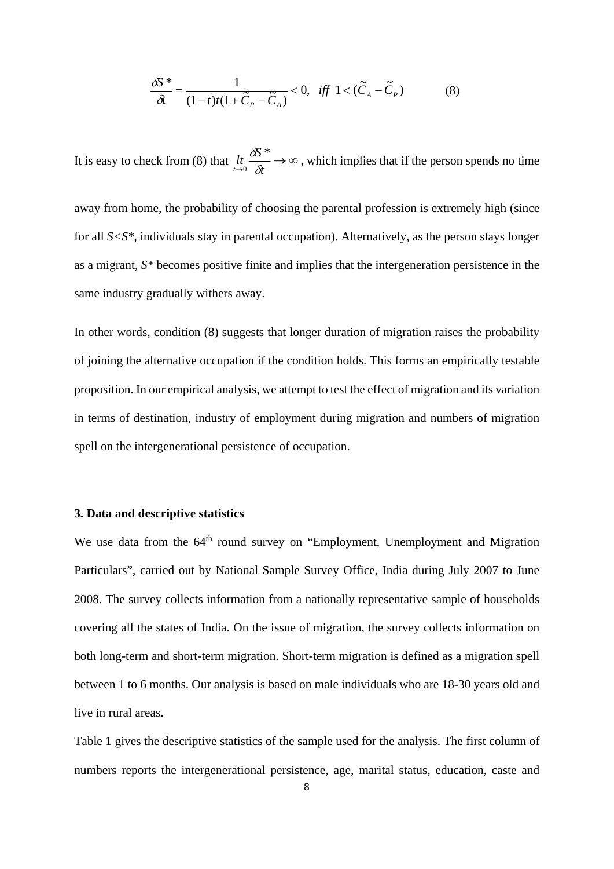$$
\frac{\delta S^*}{\delta t} = \frac{1}{(1-t)t(1+\widetilde{C}_P - \widetilde{C}_A)} < 0, \quad \text{iff} \quad 1 < (\widetilde{C}_A - \widetilde{C}_P) \tag{8}
$$

It is easy to check from (8) that  $\lim_{t \to 0} \frac{\delta S^*}{\delta t} \to \infty$  $\delta S^*$  $\frac{0}{0.0}$   $\rightarrow \infty$ , which implies that if the person spends no time

away from home, the probability of choosing the parental profession is extremely high (since for all *S<S\**, individuals stay in parental occupation). Alternatively, as the person stays longer as a migrant, *S\** becomes positive finite and implies that the intergeneration persistence in the same industry gradually withers away.

In other words, condition (8) suggests that longer duration of migration raises the probability of joining the alternative occupation if the condition holds. This forms an empirically testable proposition. In our empirical analysis, we attempt to test the effect of migration and its variation in terms of destination, industry of employment during migration and numbers of migration spell on the intergenerational persistence of occupation.

### **3. Data and descriptive statistics**

We use data from the 64<sup>th</sup> round survey on "Employment, Unemployment and Migration" Particulars", carried out by National Sample Survey Office, India during July 2007 to June 2008. The survey collects information from a nationally representative sample of households covering all the states of India. On the issue of migration, the survey collects information on both long-term and short-term migration. Short-term migration is defined as a migration spell between 1 to 6 months. Our analysis is based on male individuals who are 18-30 years old and live in rural areas.

Table 1 gives the descriptive statistics of the sample used for the analysis. The first column of numbers reports the intergenerational persistence, age, marital status, education, caste and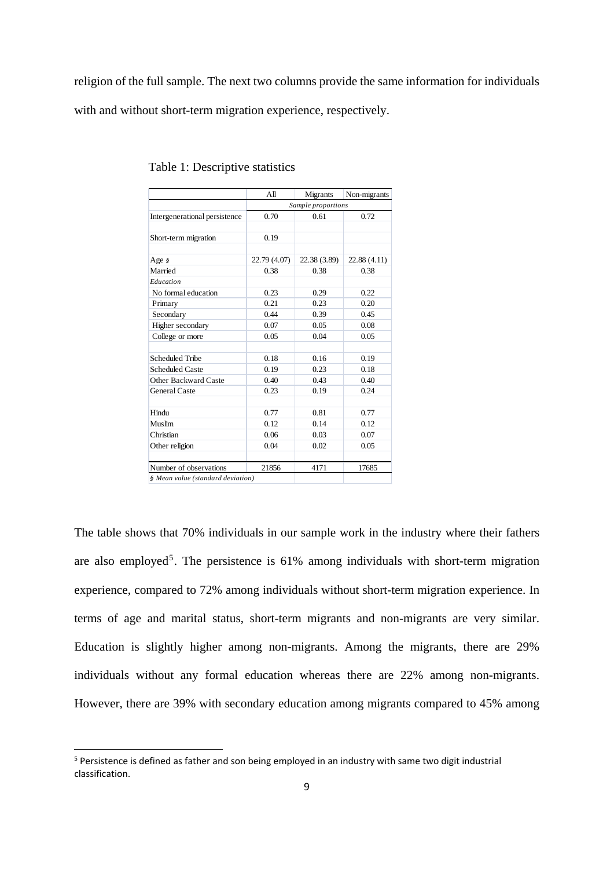religion of the full sample. The next two columns provide the same information for individuals

with and without short-term migration experience, respectively.

|                                   | All                | Migrants     |              |  |  |  |  |  |
|-----------------------------------|--------------------|--------------|--------------|--|--|--|--|--|
|                                   | Sample proportions |              |              |  |  |  |  |  |
| Intergenerational persistence     | 0.70               | 0.61         | 0.72         |  |  |  |  |  |
|                                   |                    |              |              |  |  |  |  |  |
| Short-term migration              | 0.19               |              |              |  |  |  |  |  |
|                                   |                    |              |              |  |  |  |  |  |
| Age §                             | 22.79 (4.07)       | 22.38 (3.89) | 22.88 (4.11) |  |  |  |  |  |
| Married                           | 0.38               | 0.38         | 0.38         |  |  |  |  |  |
| Education                         |                    |              |              |  |  |  |  |  |
| No formal education               | 0.23               | 0.29         | 0.22         |  |  |  |  |  |
| Primary                           | 0.21               | 0.23         | 0.20         |  |  |  |  |  |
| Secondary                         | 0.44               | 0.39         | 0.45         |  |  |  |  |  |
| Higher secondary                  | 0.07               | 0.05         | 0.08         |  |  |  |  |  |
| College or more                   | 0.05               | 0.04         | 0.05         |  |  |  |  |  |
|                                   |                    |              |              |  |  |  |  |  |
| <b>Scheduled Tribe</b>            | 0.18               | 0.16         | 0.19         |  |  |  |  |  |
| <b>Scheduled Caste</b>            | 0.19               | 0.23         | 0.18         |  |  |  |  |  |
| Other Backward Caste              | 0.40               | 0.43         | 0.40         |  |  |  |  |  |
| <b>General Caste</b>              | 0.23               | 0.19         | 0.24         |  |  |  |  |  |
| Hindu                             | 0.77               | 0.81         | 0.77         |  |  |  |  |  |
| Muslim                            | 0.12               | 0.14         | 0.12         |  |  |  |  |  |
| Christian                         | 0.06               | 0.03         | 0.07         |  |  |  |  |  |
| Other religion                    | 0.04               | 0.02         | 0.05         |  |  |  |  |  |
|                                   |                    |              |              |  |  |  |  |  |
| Number of observations            | 21856              | 4171         | 17685        |  |  |  |  |  |
| § Mean value (standard deviation) |                    |              |              |  |  |  |  |  |

| Table 1: Descriptive statistics |  |
|---------------------------------|--|
|---------------------------------|--|

The table shows that 70% individuals in our sample work in the industry where their fathers are also employed<sup>5</sup>. The persistence is  $61\%$  among individuals with short-term migration experience, compared to 72% among individuals without short-term migration experience. In terms of age and marital status, short-term migrants and non-migrants are very similar. Education is slightly higher among non-migrants. Among the migrants, there are 29% individuals without any formal education whereas there are 22% among non-migrants. However, there are 39% with secondary education among migrants compared to 45% among

1

<sup>5</sup> Persistence is defined as father and son being employed in an industry with same two digit industrial classification.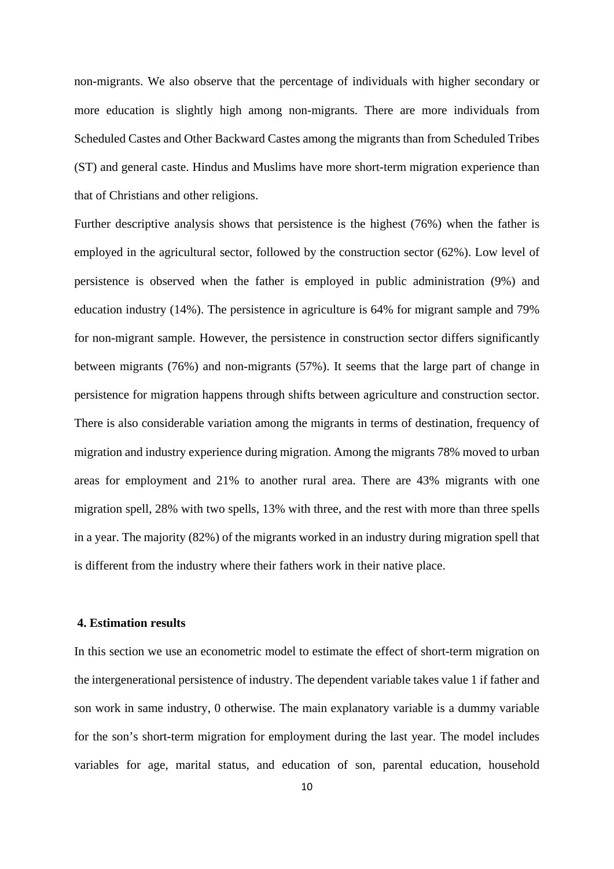non-migrants. We also observe that the percentage of individuals with higher secondary or more education is slightly high among non-migrants. There are more individuals from Scheduled Castes and Other Backward Castes among the migrants than from Scheduled Tribes (ST) and general caste. Hindus and Muslims have more short-term migration experience than that of Christians and other religions.

Further descriptive analysis shows that persistence is the highest (76%) when the father is employed in the agricultural sector, followed by the construction sector (62%). Low level of persistence is observed when the father is employed in public administration (9%) and education industry (14%). The persistence in agriculture is 64% for migrant sample and 79% for non-migrant sample. However, the persistence in construction sector differs significantly between migrants (76%) and non-migrants (57%). It seems that the large part of change in persistence for migration happens through shifts between agriculture and construction sector. There is also considerable variation among the migrants in terms of destination, frequency of migration and industry experience during migration. Among the migrants 78% moved to urban areas for employment and 21% to another rural area. There are 43% migrants with one migration spell, 28% with two spells, 13% with three, and the rest with more than three spells in a year. The majority (82%) of the migrants worked in an industry during migration spell that is different from the industry where their fathers work in their native place.

#### **4. Estimation results**

In this section we use an econometric model to estimate the effect of short-term migration on the intergenerational persistence of industry. The dependent variable takes value 1 if father and son work in same industry, 0 otherwise. The main explanatory variable is a dummy variable for the son's short-term migration for employment during the last year. The model includes variables for age, marital status, and education of son, parental education, household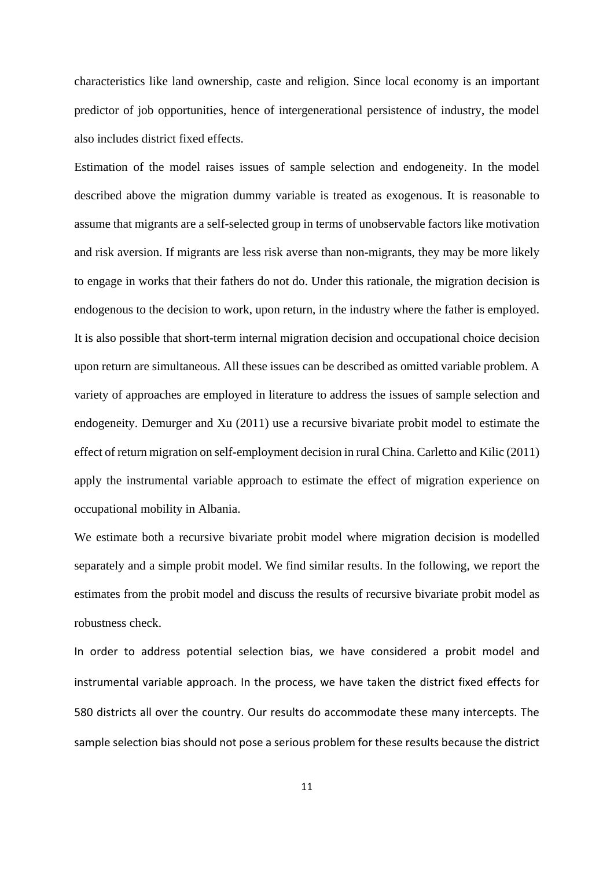characteristics like land ownership, caste and religion. Since local economy is an important predictor of job opportunities, hence of intergenerational persistence of industry, the model also includes district fixed effects.

Estimation of the model raises issues of sample selection and endogeneity. In the model described above the migration dummy variable is treated as exogenous. It is reasonable to assume that migrants are a self-selected group in terms of unobservable factors like motivation and risk aversion. If migrants are less risk averse than non-migrants, they may be more likely to engage in works that their fathers do not do. Under this rationale, the migration decision is endogenous to the decision to work, upon return, in the industry where the father is employed. It is also possible that short-term internal migration decision and occupational choice decision upon return are simultaneous. All these issues can be described as omitted variable problem. A variety of approaches are employed in literature to address the issues of sample selection and endogeneity. Demurger and Xu (2011) use a recursive bivariate probit model to estimate the effect of return migration on self-employment decision in rural China. Carletto and Kilic (2011) apply the instrumental variable approach to estimate the effect of migration experience on occupational mobility in Albania.

We estimate both a recursive bivariate probit model where migration decision is modelled separately and a simple probit model. We find similar results. In the following, we report the estimates from the probit model and discuss the results of recursive bivariate probit model as robustness check.

In order to address potential selection bias, we have considered a probit model and instrumental variable approach. In the process, we have taken the district fixed effects for 580 districts all over the country. Our results do accommodate these many intercepts. The sample selection bias should not pose a serious problem for these results because the district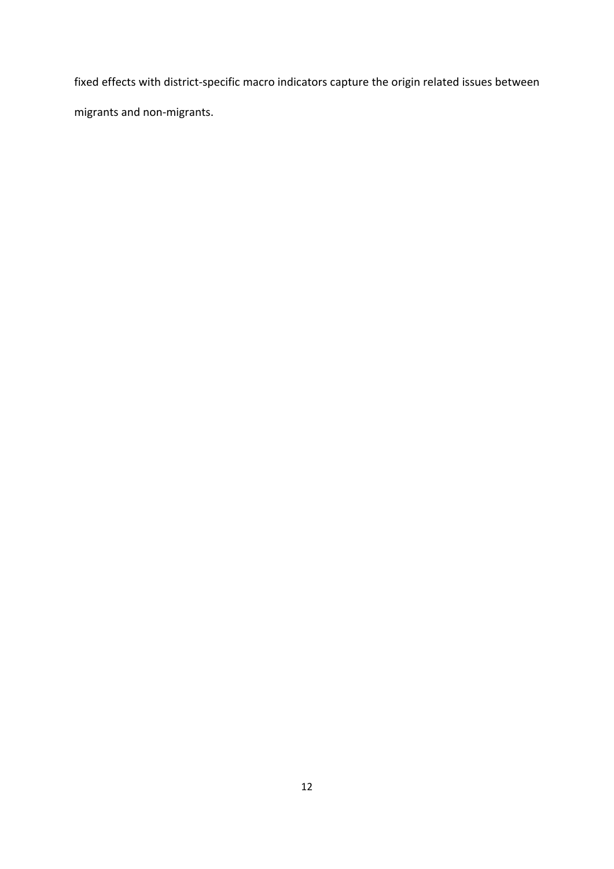fixed effects with district‐specific macro indicators capture the origin related issues between migrants and non‐migrants.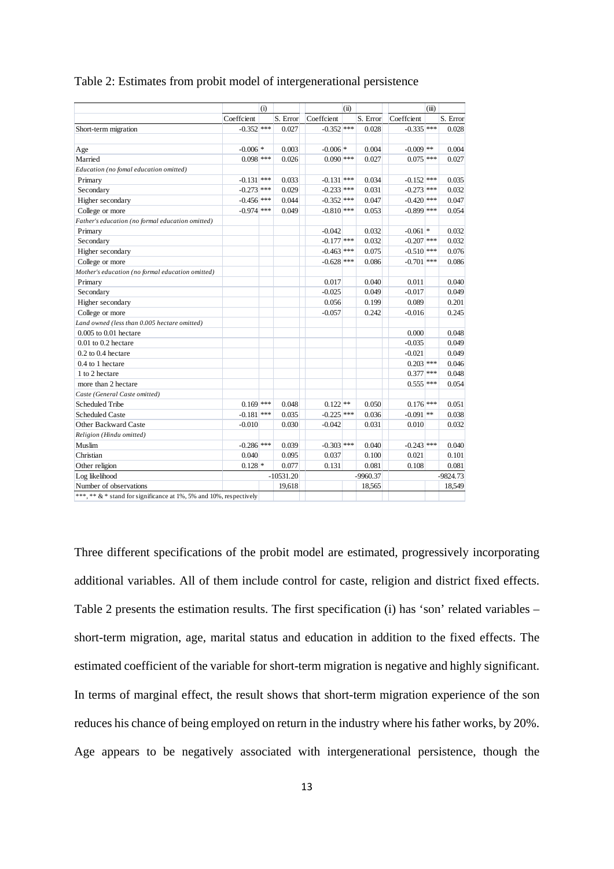|                                                                   | (i)          |  |             |              | (ii) |            |              | (iii) |            |
|-------------------------------------------------------------------|--------------|--|-------------|--------------|------|------------|--------------|-------|------------|
|                                                                   | Coeffcient   |  | S. Error    | Coeffcient   |      | S. Error   | Coeffcient   |       | S. Error   |
| Short-term migration                                              | $-0.352$ *** |  | 0.027       | $-0.352$ *** |      | 0.028      | $-0.335$ *** |       | 0.028      |
|                                                                   |              |  |             |              |      |            |              |       |            |
| Age                                                               | $-0.006$ *   |  | 0.003       | $-0.006$ *   |      | 0.004      | $-0.009$ **  |       | 0.004      |
| Married                                                           | $0.098$ ***  |  | 0.026       | $0.090$ ***  |      | 0.027      | $0.075$ ***  |       | 0.027      |
| Education (no fomal education omitted)                            |              |  |             |              |      |            |              |       |            |
| Primary                                                           | $-0.131$ *** |  | 0.033       | $-0.131$ *** |      | 0.034      | $-0.152$ *** |       | 0.035      |
| Secondary                                                         | $-0.273$ *** |  | 0.029       | $-0.233$ *** |      | 0.031      | $-0.273$ *** |       | 0.032      |
| Higher secondary                                                  | $-0.456$ *** |  | 0.044       | $-0.352$ *** |      | 0.047      | $-0.420$ *** |       | 0.047      |
| College or more                                                   | $-0.974$ *** |  | 0.049       | $-0.810$ *** |      | 0.053      | $-0.899$ *** |       | 0.054      |
| Father's education (no formal education omitted)                  |              |  |             |              |      |            |              |       |            |
| Primary                                                           |              |  |             | $-0.042$     |      | 0.032      | $-0.061$ *   |       | 0.032      |
| Secondary                                                         |              |  |             | $-0.177$ *** |      | 0.032      | $-0.207$ *** |       | 0.032      |
| Higher secondary                                                  |              |  |             | $-0.463$ *** |      | 0.075      | $-0.510$ *** |       | 0.076      |
| College or more                                                   |              |  |             | $-0.628$ *** |      | 0.086      | $-0.701$ *** |       | 0.086      |
| Mother's education (no formal education omitted)                  |              |  |             |              |      |            |              |       |            |
| Primary                                                           |              |  |             | 0.017        |      | 0.040      | 0.011        |       | 0.040      |
| Secondary                                                         |              |  |             | $-0.025$     |      | 0.049      | $-0.017$     |       | 0.049      |
| Higher secondary                                                  |              |  |             | 0.056        |      | 0.199      | 0.089        |       | 0.201      |
| College or more                                                   |              |  |             | $-0.057$     |      | 0.242      | $-0.016$     |       | 0.245      |
| Land owned (less than 0.005 hectare omitted)                      |              |  |             |              |      |            |              |       |            |
| 0.005 to 0.01 hectare                                             |              |  |             |              |      |            | 0.000        |       | 0.048      |
| $0.01$ to $0.2$ hectare                                           |              |  |             |              |      |            | $-0.035$     |       | 0.049      |
| $0.2$ to $0.4$ hectare                                            |              |  |             |              |      |            | $-0.021$     |       | 0.049      |
| 0.4 to 1 hectare                                                  |              |  |             |              |      |            | $0.203$ ***  |       | 0.046      |
| 1 to 2 hectare                                                    |              |  |             |              |      |            | $0.377$ ***  |       | 0.048      |
| more than 2 hectare                                               |              |  |             |              |      |            | $0.555$ ***  |       | 0.054      |
| Caste (General Caste omitted)                                     |              |  |             |              |      |            |              |       |            |
| <b>Scheduled Tribe</b>                                            | $0.169$ ***  |  | 0.048       | $0.122$ **   |      | 0.050      | $0.176$ ***  |       | 0.051      |
| <b>Scheduled Caste</b>                                            | $-0.181$ *** |  | 0.035       | $-0.225$ *** |      | 0.036      | $-0.091$ **  |       | 0.038      |
| Other Backward Caste                                              | $-0.010$     |  | 0.030       | $-0.042$     |      | 0.031      | 0.010        |       | 0.032      |
| Religion (Hindu omitted)                                          |              |  |             |              |      |            |              |       |            |
| Muslim                                                            | $-0.286$ *** |  | 0.039       | $-0.303$ *** |      | 0.040      | $-0.243$ *** |       | 0.040      |
| Christian                                                         | 0.040        |  | 0.095       | 0.037        |      | 0.100      | 0.021        |       | 0.101      |
| Other religion                                                    | $0.128$ *    |  | 0.077       | 0.131        |      | 0.081      | 0.108        |       | 0.081      |
| Log likelihood                                                    |              |  | $-10531.20$ |              |      | $-9960.37$ |              |       | $-9824.73$ |
| Number of observations                                            |              |  | 19,618      |              |      | 18,565     |              |       | 18,549     |
| ***,** & * stand for significance at 1%, 5% and 10%, respectively |              |  |             |              |      |            |              |       |            |

Table 2: Estimates from probit model of intergenerational persistence

Three different specifications of the probit model are estimated, progressively incorporating additional variables. All of them include control for caste, religion and district fixed effects. Table 2 presents the estimation results. The first specification (i) has 'son' related variables – short-term migration, age, marital status and education in addition to the fixed effects. The estimated coefficient of the variable for short-term migration is negative and highly significant. In terms of marginal effect, the result shows that short-term migration experience of the son reduces his chance of being employed on return in the industry where his father works, by 20%. Age appears to be negatively associated with intergenerational persistence, though the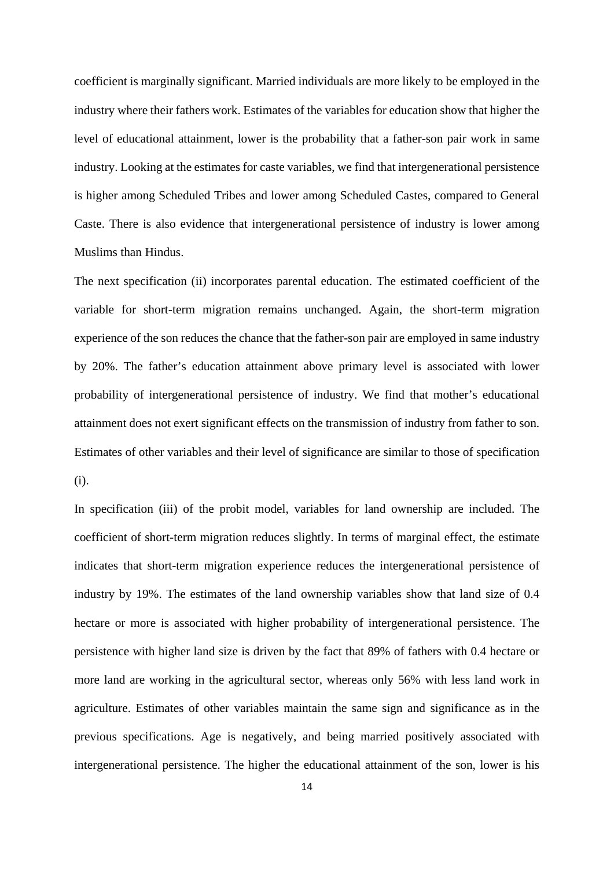coefficient is marginally significant. Married individuals are more likely to be employed in the industry where their fathers work. Estimates of the variables for education show that higher the level of educational attainment, lower is the probability that a father-son pair work in same industry. Looking at the estimates for caste variables, we find that intergenerational persistence is higher among Scheduled Tribes and lower among Scheduled Castes, compared to General Caste. There is also evidence that intergenerational persistence of industry is lower among Muslims than Hindus.

The next specification (ii) incorporates parental education. The estimated coefficient of the variable for short-term migration remains unchanged. Again, the short-term migration experience of the son reduces the chance that the father-son pair are employed in same industry by 20%. The father's education attainment above primary level is associated with lower probability of intergenerational persistence of industry. We find that mother's educational attainment does not exert significant effects on the transmission of industry from father to son. Estimates of other variables and their level of significance are similar to those of specification (i).

In specification (iii) of the probit model, variables for land ownership are included. The coefficient of short-term migration reduces slightly. In terms of marginal effect, the estimate indicates that short-term migration experience reduces the intergenerational persistence of industry by 19%. The estimates of the land ownership variables show that land size of 0.4 hectare or more is associated with higher probability of intergenerational persistence. The persistence with higher land size is driven by the fact that 89% of fathers with 0.4 hectare or more land are working in the agricultural sector, whereas only 56% with less land work in agriculture. Estimates of other variables maintain the same sign and significance as in the previous specifications. Age is negatively, and being married positively associated with intergenerational persistence. The higher the educational attainment of the son, lower is his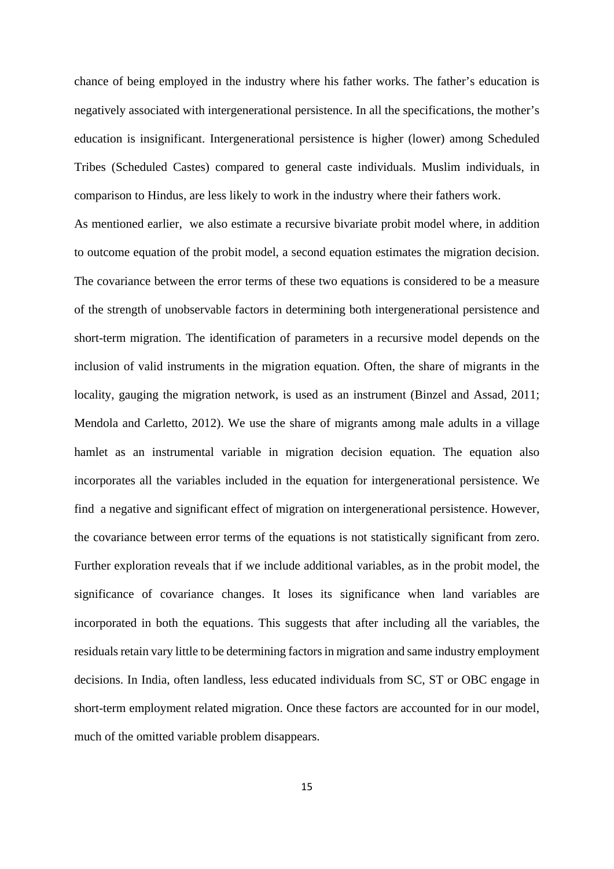chance of being employed in the industry where his father works. The father's education is negatively associated with intergenerational persistence. In all the specifications, the mother's education is insignificant. Intergenerational persistence is higher (lower) among Scheduled Tribes (Scheduled Castes) compared to general caste individuals. Muslim individuals, in comparison to Hindus, are less likely to work in the industry where their fathers work.

As mentioned earlier, we also estimate a recursive bivariate probit model where, in addition to outcome equation of the probit model, a second equation estimates the migration decision. The covariance between the error terms of these two equations is considered to be a measure of the strength of unobservable factors in determining both intergenerational persistence and short-term migration. The identification of parameters in a recursive model depends on the inclusion of valid instruments in the migration equation. Often, the share of migrants in the locality, gauging the migration network, is used as an instrument (Binzel and Assad, 2011; Mendola and Carletto, 2012). We use the share of migrants among male adults in a village hamlet as an instrumental variable in migration decision equation. The equation also incorporates all the variables included in the equation for intergenerational persistence. We find a negative and significant effect of migration on intergenerational persistence. However, the covariance between error terms of the equations is not statistically significant from zero. Further exploration reveals that if we include additional variables, as in the probit model, the significance of covariance changes. It loses its significance when land variables are incorporated in both the equations. This suggests that after including all the variables, the residuals retain vary little to be determining factors in migration and same industry employment decisions. In India, often landless, less educated individuals from SC, ST or OBC engage in short-term employment related migration. Once these factors are accounted for in our model, much of the omitted variable problem disappears.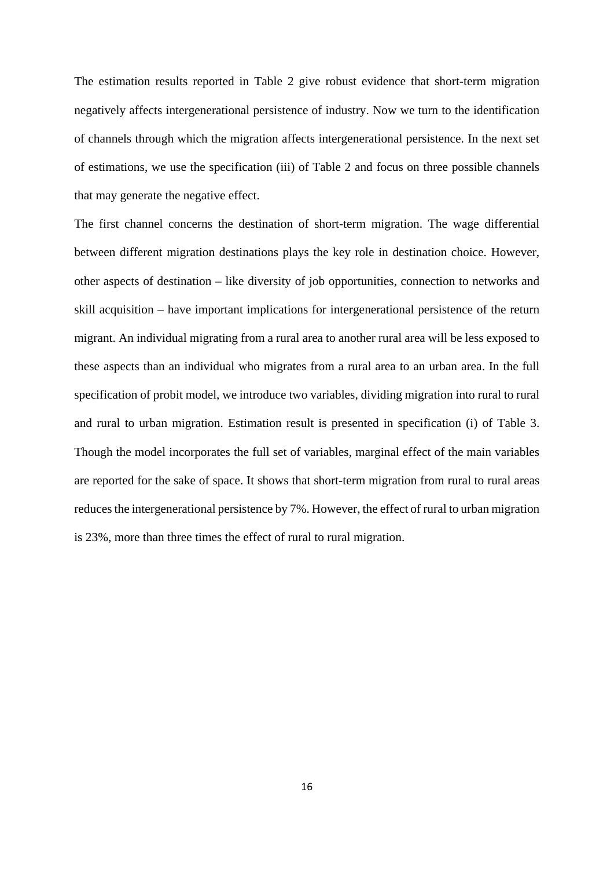The estimation results reported in Table 2 give robust evidence that short-term migration negatively affects intergenerational persistence of industry. Now we turn to the identification of channels through which the migration affects intergenerational persistence. In the next set of estimations, we use the specification (iii) of Table 2 and focus on three possible channels that may generate the negative effect.

The first channel concerns the destination of short-term migration. The wage differential between different migration destinations plays the key role in destination choice. However, other aspects of destination – like diversity of job opportunities, connection to networks and skill acquisition – have important implications for intergenerational persistence of the return migrant. An individual migrating from a rural area to another rural area will be less exposed to these aspects than an individual who migrates from a rural area to an urban area. In the full specification of probit model, we introduce two variables, dividing migration into rural to rural and rural to urban migration. Estimation result is presented in specification (i) of Table 3. Though the model incorporates the full set of variables, marginal effect of the main variables are reported for the sake of space. It shows that short-term migration from rural to rural areas reduces the intergenerational persistence by 7%. However, the effect of rural to urban migration is 23%, more than three times the effect of rural to rural migration.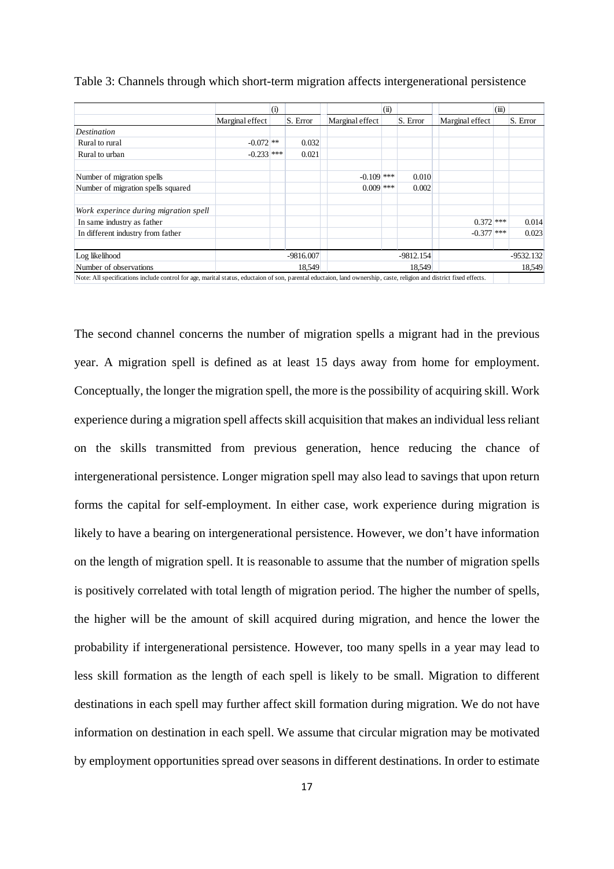|                                       |                 | (i)         |          |                 | (ii) |             |                 | (iii)  |             |
|---------------------------------------|-----------------|-------------|----------|-----------------|------|-------------|-----------------|--------|-------------|
|                                       | Marginal effect |             | S. Error | Marginal effect |      | S. Error    | Marginal effect |        | S. Error    |
| Destination                           |                 |             |          |                 |      |             |                 |        |             |
| Rural to rural                        | $-0.072$ **     |             | 0.032    |                 |      |             |                 |        |             |
| Rural to urban                        | $-0.233$ ***    |             | 0.021    |                 |      |             |                 |        |             |
| Number of migration spells            |                 |             |          | $-0.109$ ***    |      | 0.010       |                 |        |             |
| Number of migration spells squared    |                 |             |          | $0.009$ ***     |      | 0.002       |                 |        |             |
| Work experince during migration spell |                 |             |          |                 |      |             |                 |        |             |
| In same industry as father            |                 |             |          |                 |      |             | $0.372$ ***     |        | 0.014       |
| In different industry from father     |                 |             |          |                 |      |             | $-0.377$ ***    |        | 0.023       |
| Log likelihood                        |                 | $-9816.007$ |          |                 |      | $-9812.154$ |                 |        | $-9532.132$ |
| Number of observations                |                 |             | 18.549   | 18,549          |      |             |                 | 18,549 |             |

|  |  |  | Table 3: Channels through which short-term migration affects intergenerational persistence |  |
|--|--|--|--------------------------------------------------------------------------------------------|--|
|  |  |  |                                                                                            |  |

The second channel concerns the number of migration spells a migrant had in the previous year. A migration spell is defined as at least 15 days away from home for employment. Conceptually, the longer the migration spell, the more is the possibility of acquiring skill. Work experience during a migration spell affects skill acquisition that makes an individual less reliant on the skills transmitted from previous generation, hence reducing the chance of intergenerational persistence. Longer migration spell may also lead to savings that upon return forms the capital for self-employment. In either case, work experience during migration is likely to have a bearing on intergenerational persistence. However, we don't have information on the length of migration spell. It is reasonable to assume that the number of migration spells is positively correlated with total length of migration period. The higher the number of spells, the higher will be the amount of skill acquired during migration, and hence the lower the probability if intergenerational persistence. However, too many spells in a year may lead to less skill formation as the length of each spell is likely to be small. Migration to different destinations in each spell may further affect skill formation during migration. We do not have information on destination in each spell. We assume that circular migration may be motivated by employment opportunities spread over seasons in different destinations. In order to estimate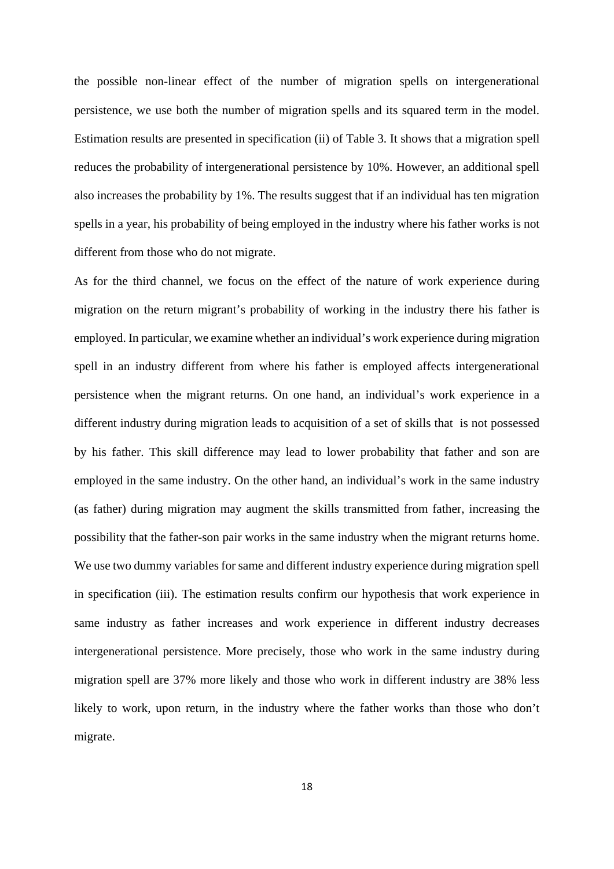the possible non-linear effect of the number of migration spells on intergenerational persistence, we use both the number of migration spells and its squared term in the model. Estimation results are presented in specification (ii) of Table 3. It shows that a migration spell reduces the probability of intergenerational persistence by 10%. However, an additional spell also increases the probability by 1%. The results suggest that if an individual has ten migration spells in a year, his probability of being employed in the industry where his father works is not different from those who do not migrate.

As for the third channel, we focus on the effect of the nature of work experience during migration on the return migrant's probability of working in the industry there his father is employed. In particular, we examine whether an individual's work experience during migration spell in an industry different from where his father is employed affects intergenerational persistence when the migrant returns. On one hand, an individual's work experience in a different industry during migration leads to acquisition of a set of skills that is not possessed by his father. This skill difference may lead to lower probability that father and son are employed in the same industry. On the other hand, an individual's work in the same industry (as father) during migration may augment the skills transmitted from father, increasing the possibility that the father-son pair works in the same industry when the migrant returns home. We use two dummy variables for same and different industry experience during migration spell in specification (iii). The estimation results confirm our hypothesis that work experience in same industry as father increases and work experience in different industry decreases intergenerational persistence. More precisely, those who work in the same industry during migration spell are 37% more likely and those who work in different industry are 38% less likely to work, upon return, in the industry where the father works than those who don't migrate.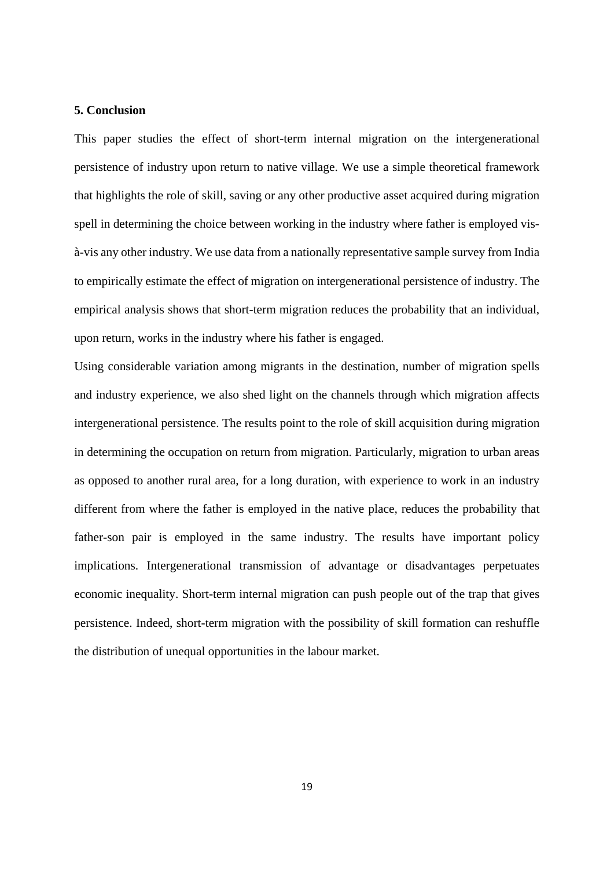#### **5. Conclusion**

This paper studies the effect of short-term internal migration on the intergenerational persistence of industry upon return to native village. We use a simple theoretical framework that highlights the role of skill, saving or any other productive asset acquired during migration spell in determining the choice between working in the industry where father is employed visà-vis any other industry. We use data from a nationally representative sample survey from India to empirically estimate the effect of migration on intergenerational persistence of industry. The empirical analysis shows that short-term migration reduces the probability that an individual, upon return, works in the industry where his father is engaged.

Using considerable variation among migrants in the destination, number of migration spells and industry experience, we also shed light on the channels through which migration affects intergenerational persistence. The results point to the role of skill acquisition during migration in determining the occupation on return from migration. Particularly, migration to urban areas as opposed to another rural area, for a long duration, with experience to work in an industry different from where the father is employed in the native place, reduces the probability that father-son pair is employed in the same industry. The results have important policy implications. Intergenerational transmission of advantage or disadvantages perpetuates economic inequality. Short-term internal migration can push people out of the trap that gives persistence. Indeed, short-term migration with the possibility of skill formation can reshuffle the distribution of unequal opportunities in the labour market.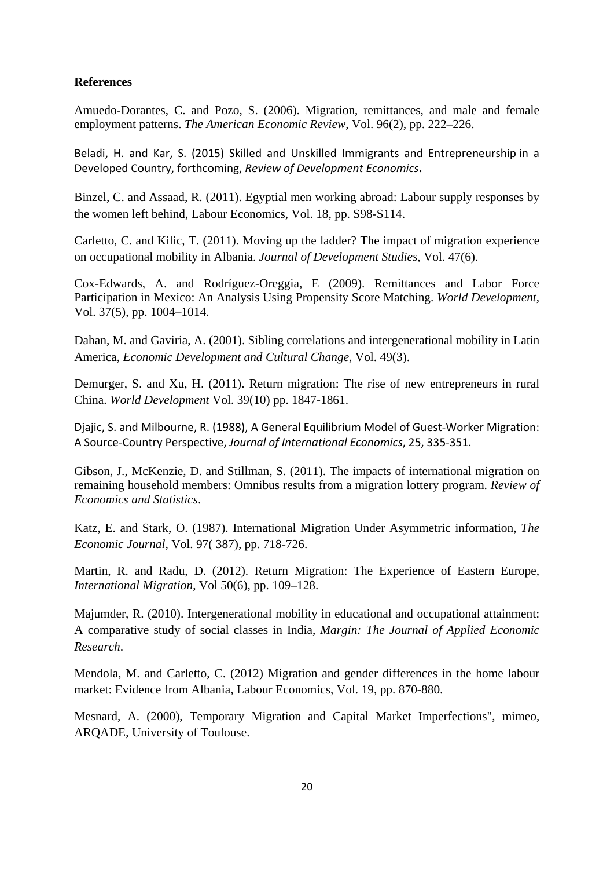### **References**

Amuedo-Dorantes, C. and Pozo, S. (2006). Migration, remittances, and male and female employment patterns. *The American Economic Review*, Vol. 96(2), pp. 222–226.

Beladi, H. and Kar, S. (2015) Skilled and Unskilled Immigrants and Entrepreneurship in a Developed Country, forthcoming, *Review of Development Economics***.**

Binzel, C. and Assaad, R. (2011). Egyptial men working abroad: Labour supply responses by the women left behind, Labour Economics, Vol. 18, pp. S98-S114.

Carletto, C. and Kilic, T. (2011). Moving up the ladder? The impact of migration experience on occupational mobility in Albania. *Journal of Development Studies*, Vol. 47(6).

Cox-Edwards, A. and Rodríguez-Oreggia, E (2009). Remittances and Labor Force Participation in Mexico: An Analysis Using Propensity Score Matching. *World Development*, Vol. 37(5), pp. 1004–1014.

Dahan, M. and Gaviria, A. (2001). Sibling correlations and intergenerational mobility in Latin America, *Economic Development and Cultural Change*, Vol. 49(3).

Demurger, S. and Xu, H. (2011). Return migration: The rise of new entrepreneurs in rural China. *World Development* Vol. 39(10) pp. 1847-1861.

Djajic, S. and Milbourne, R. (1988), A General Equilibrium Model of Guest‐Worker Migration: A Source‐Country Perspective, *Journal of International Economics*, 25, 335‐351.

Gibson, J., McKenzie, D. and Stillman, S. (2011). The impacts of international migration on remaining household members: Omnibus results from a migration lottery program. *Review of Economics and Statistics*.

Katz, E. and Stark, O. (1987). International Migration Under Asymmetric information, *The Economic Journal*, Vol. 97( 387), pp. 718-726.

Martin, R. and Radu, D. (2012). Return Migration: The Experience of Eastern Europe, *International Migration*, Vol 50(6), pp. 109–128.

Majumder, R. (2010). Intergenerational mobility in educational and occupational attainment: A comparative study of social classes in India, *Margin: The Journal of Applied Economic Research*.

Mendola, M. and Carletto, C. (2012) Migration and gender differences in the home labour market: Evidence from Albania, Labour Economics, Vol. 19, pp. 870-880.

Mesnard, A. (2000), Temporary Migration and Capital Market Imperfections", mimeo, ARQADE, University of Toulouse.